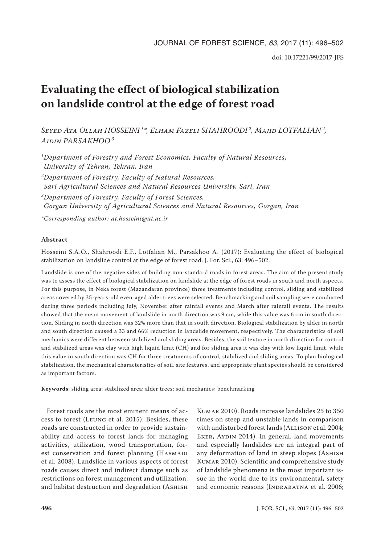# **Evaluating the effect of biological stabilization on landslide control at the edge of forest road**

*Seyed Ata Ollah HOSSEINI 1\*, Elham Fazeli SHAHROODI 2, Majid LOTFALIAN2, Aidin PARSAKHOO<sup>3</sup>*

*1Department of Forestry and Forest Economics, Faculty of Natural Resources, University of Tehran, Tehran, Iran*

*2Department of Forestry, Faculty of Natural Resources, Sari Agricultural Sciences and Natural Resources University, Sari, Iran*

*3Department of Forestry, Faculty of Forest Sciences, Gorgan University of Agricultural Sciences and Natural Resources, Gorgan, Iran*

*\*Corresponding author: at.hosseini@ut.ac.ir*

## **Abstract**

Hosseini S.A.O., Shahroodi E.F., Lotfalian M., Parsakhoo A. (2017): Evaluating the effect of biological stabilization on landslide control at the edge of forest road. J. For. Sci., 63: 496–502.

Landslide is one of the negative sides of building non-standard roads in forest areas. The aim of the present study was to assess the effect of biological stabilization on landslide at the edge of forest roads in south and north aspects. For this purpose, in Neka forest (Mazandaran province) three treatments including control, sliding and stabilized areas covered by 35-years-old even-aged alder trees were selected. Benchmarking and soil sampling were conducted during three periods including July, November after rainfall events and March after rainfall events. The results showed that the mean movement of landslide in north direction was 9 cm, while this value was 6 cm in south direction. Sliding in north direction was 32% more than that in south direction. Biological stabilization by alder in north and south direction caused a 33 and 66% reduction in landslide movement, respectively. The characteristics of soil mechanics were different between stabilized and sliding areas. Besides, the soil texture in north direction for control and stabilized areas was clay with high liquid limit (CH) and for sliding area it was clay with low liquid limit, while this value in south direction was CH for three treatments of control, stabilized and sliding areas. To plan biological stabilization, the mechanical characteristics of soil, site features, and appropriate plant species should be considered as important factors.

**Keywords**: sliding area; stabilized area; alder trees; soil mechanics; benchmarking

Forest roads are the most eminent means of access to forest (Leung et al. 2015). Besides, these roads are constructed in order to provide sustainability and access to forest lands for managing activities, utilization, wood transportation, forest conservation and forest planning (HASMADI et al. 2008). Landslide in various aspects of forest roads causes direct and indirect damage such as restrictions on forest management and utilization, and habitat destruction and degradation (ASHISH

Kumar 2010). Roads increase landslides 25 to 350 times on steep and unstable lands in comparison with undisturbed forest lands (ALLISON et al. 2004; EKER, AYDIN 2014). In general, land movements and especially landslides are an integral part of any deformation of land in steep slopes (ASHISH Kumar 2010). Scientific and comprehensive study of landslide phenomena is the most important issue in the world due to its environmental, safety and economic reasons (INDRARATNA et al. 2006;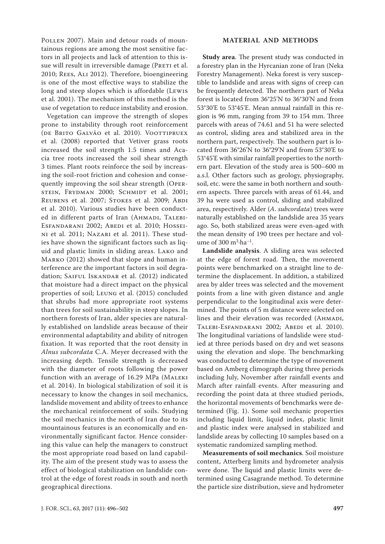POLLEN 2007). Main and detour roads of mountainous regions are among the most sensitive factors in all projects and lack of attention to this issue will result in irreversible damage (PRETI et al. 2010; Rees, Ali 2012). Therefore, bioengineering is one of the most effective ways to stabilize the long and steep slopes which is affordable (Lewis et al. 2001). The mechanism of this method is the use of vegetation to reduce instability and erosion.

Vegetation can improve the strength of slopes prone to instability through root reinforcement (DE BRITO GALVÃO et al. 2010). VOOTTIPRUEX et al. (2008) reported that Vetiver grass roots increased the soil strength 1.5 times and Acacia tree roots increased the soil shear strength 3 times. Plant roots reinforce the soil by increasing the soil-root friction and cohesion and consequently improving the soil shear strength (Oper-STEIN, FRYDMAN 2000; SCHMIDT et al. 2001; REUBENS et al. 2007; STOKES et al. 2009; ABDI et al. 2010). Various studies have been conducted in different parts of Iran (AHMADI, TALEBI-ESFANDARANI 2002; ABEDI et al. 2010; HOSSEIni et al. 2011; Nazari et al. 2011). These studies have shown the significant factors such as liquid and plastic limits in sliding areas. Lako and MARKO (2012) showed that slope and human interference are the important factors in soil degradation; SAIFUL ISKANDAR et al. (2012) indicated that moisture had a direct impact on the physical properties of soil; Leung et al. (2015) concluded that shrubs had more appropriate root systems than trees for soil sustainability in steep slopes. In northern forests of Iran, alder species are naturally established on landslide areas because of their environmental adaptability and ability of nitrogen fixation. It was reported that the root density in *Alnus subcordata* C.A. Meyer decreased with the increasing depth. Tensile strength is decreased with the diameter of roots following the power function with an average of 16.29 MPa (MALEKI et al. 2014). In biological stabilization of soil it is necessary to know the changes in soil mechanics, landslide movement and ability of trees to enhance the mechanical reinforcement of soils. Studying the soil mechanics in the north of Iran due to its mountainous features is an economically and environmentally significant factor. Hence considering this value can help the managers to construct the most appropriate road based on land capability. The aim of the present study was to assess the effect of biological stabilization on landslide control at the edge of forest roads in south and north geographical directions.

### **MATERIAL AND METHODS**

**Study area**. The present study was conducted in a forestry plan in the Hyrcanian zone of Iran (Neka Forestry Management). Neka forest is very susceptible to landslide and areas with signs of creep can be frequently detected. The northern part of Neka forest is located from 36°25'N to 36°30'N and from 53°30'E to 53°45'E. Mean annual rainfall in this region is 96 mm, ranging from 39 to 154 mm. Three parcels with areas of 74.61 and 51 ha were selected as control, sliding area and stabilized area in the northern part, respectively. The southern part is located from 36°26'N to 36°29'N and from 53°30'E to 53°45'E with similar rainfall properties to the northern part. Elevation of the study area is 500–600 m a.s.l. Other factors such as geology, physiography, soil, etc. were the same in both northern and southern aspects. Three parcels with areas of 61.44, and 39 ha were used as control, sliding and stabilized area, respectively. Alder (*A*. *subcordata*) trees were naturally established on the landslide area 35 years ago. So, both stabilized areas were even-aged with the mean density of 190 trees per hectare and volume of  $300 \text{ m}^3 \cdot \text{ha}^{-1}$ .

**Landslide analysis**. A sliding area was selected at the edge of forest road. Then, the movement points were benchmarked on a straight line to determine the displacement. In addition, a stabilized area by alder trees was selected and the movement points from a line with given distance and angle perpendicular to the longitudinal axis were determined. The points of 5 m distance were selected on lines and their elevation was recorded (AHMADI, Talebi-Esfandarani 2002; Abedi et al. 2010). The longitudinal variations of landslide were studied at three periods based on dry and wet seasons using the elevation and slope. The benchmarking was conducted to determine the type of movement based on Amberg climograph during three periods including July, November after rainfall events and March after rainfall events. After measuring and recording the point data at three studied periods, the horizontal movements of benchmarks were determined (Fig. 1). Some soil mechanic properties including liquid limit, liquid index, plastic limit and plastic index were analysed in stabilized and landslide areas by collecting 10 samples based on a systematic randomized sampling method.

**Measurements of soil mechanics**. Soil moisture content, Atterberg limits and hydrometer analysis were done. The liquid and plastic limits were determined using Casagrande method. To determine the particle size distribution, sieve and hydrometer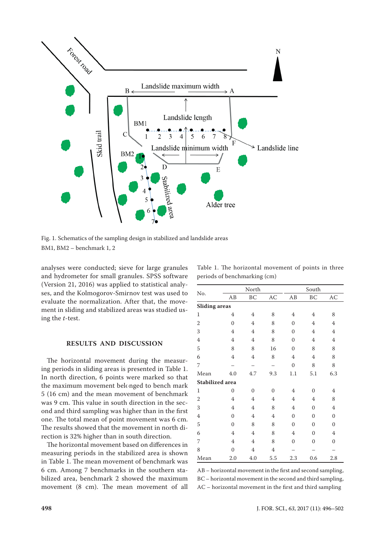

Fig. 1. Schematics of the sampling design in stabilized and landslide areas BM1, BM2 – benchmark 1, 2

analyses were conducted; sieve for large granules and hydrometer for small granules. SPSS software (Version 21, 2016) was applied to statistical analyses, and the Kolmogorov-Smirnov test was used to evaluate the normalization. After that, the movement in sliding and stabilized areas was studied using the *t*-test.

### **RESULTS AND DISCUSSION**

The horizontal movement during the measuring periods in sliding areas is presented in Table 1. In north direction, 6 points were marked so that the maximum movement belonged to bench mark 5 (16 cm) and the mean movement of benchmark was 9 cm. This value in south direction in the second and third sampling was higher than in the first one. The total mean of point movement was 6 cm. The results showed that the movement in north direction is 32% higher than in south direction.

The horizontal movement based on differences in measuring periods in the stabilized area is shown in Table 1. The mean movement of benchmark was 6 cm. Among 7 benchmarks in the southern stabilized area, benchmark 2 showed the maximum movement (8 cm). The mean movement of all

|                        |                  | North               |                |                | South          |                |  |
|------------------------|------------------|---------------------|----------------|----------------|----------------|----------------|--|
| No.                    | AB               | $\operatorname{BC}$ | AC             | AB             | BC             | AC             |  |
| <b>Sliding</b> areas   |                  |                     |                |                |                |                |  |
| $\mathbf{1}$           | $\overline{4}$   | $\overline{4}$      | 8              | $\overline{4}$ | $\overline{4}$ | 8              |  |
| $\overline{2}$         | $\boldsymbol{0}$ | 4                   | 8              | $\Omega$       | 4              | 4              |  |
| 3                      | $\overline{4}$   | $\overline{4}$      | 8              | $\theta$       | $\overline{4}$ | $\overline{4}$ |  |
| $\overline{4}$         | $\overline{4}$   | 4                   | 8              | $\theta$       | 4              | 4              |  |
| 5                      | 8                | 8                   | 16             | $\theta$       | 8              | 8              |  |
| 6                      | $\overline{4}$   | 4                   | 8              | 4              | 4              | 8              |  |
| 7                      |                  |                     |                | $\mathbf{0}$   | 8              | 8              |  |
| Mean                   | 4.0              | 4.7                 | 9.3            | 1.1            | 5.1            | 6.3            |  |
| <b>Stabilized area</b> |                  |                     |                |                |                |                |  |
| $\mathbf{1}$           | $\mathbf{0}$     | $\theta$            | $\theta$       | 4              | $\theta$       | 4              |  |
| $\overline{2}$         | $\overline{4}$   | $\overline{4}$      | 4              | 4              | $\overline{4}$ | 8              |  |
| 3                      | 4                | 4                   | 8              | $\overline{4}$ | $\mathbf{0}$   | 4              |  |
| $\overline{4}$         | $\overline{0}$   | 4                   | 4              | $\theta$       | $\theta$       | $\mathbf{0}$   |  |
| 5                      | $\overline{0}$   | 8                   | 8              | $\theta$       | $\theta$       | $\overline{0}$ |  |
| 6                      | 4                | 4                   | 8              | $\overline{4}$ | $\theta$       | 4              |  |
| 7                      | $\overline{4}$   | 4                   | 8              | $\Omega$       | $\overline{0}$ | $\overline{0}$ |  |
| 8                      | $\mathbf{0}$     | 4                   | $\overline{4}$ |                |                |                |  |
| Mean                   | 2.0              | 4.0                 | 5.5            | 2.3            | 0.6            | 2.8            |  |

AB – horizontal movement in the first and second sampling, BC – horizontal movement in the second and third sampling, AC – horizontal movement in the first and third sampling

Table 1. The horizontal movement of points in three periods of benchmarking (cm)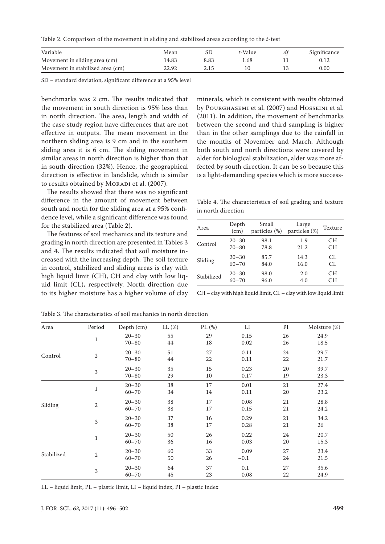Table 2. Comparison of the movement in sliding and stabilized areas according to the *t*-test

| Variable                         | Mean  |      | t-Value | Significance |
|----------------------------------|-------|------|---------|--------------|
| Movement in sliding area (cm)    | 4.83  | 8.83 | . 68    |              |
| Movement in stabilized area (cm) | 22.92 | 2.15 |         | 0.00         |

SD – standard deviation, significant difference at a 95% level

benchmarks was 2 cm. The results indicated that the movement in south direction is 95% less than in north direction. The area, length and width of the case study region have differences that are not effective in outputs. The mean movement in the northern sliding area is 9 cm and in the southern sliding area it is 6 cm. The sliding movement in similar areas in north direction is higher than that in south direction (32%). Hence, the geographical direction is effective in landslide, which is similar to results obtained by MORADI et al. (2007).

The results showed that there was no significant difference in the amount of movement between south and north for the sliding area at a 95% confidence level, while a significant difference was found for the stabilized area (Table 2).

The features of soil mechanics and its texture and grading in north direction are presented in Tables 3 and 4. The results indicated that soil moisture increased with the increasing depth. The soil texture in control, stabilized and sliding areas is clay with high liquid limit (CH), CH and clay with low liquid limit (CL), respectively. North direction due to its higher moisture has a higher volume of clay

minerals, which is consistent with results obtained by Pourghasemi et al. (2007) and Hosseini et al. (2011). In addition, the movement of benchmarks between the second and third sampling is higher than in the other samplings due to the rainfall in the months of November and March. Although both south and north directions were covered by alder for biological stabilization, alder was more affected by south direction. It can be so because this is a light-demanding species which is more success-

Table 4. The characteristics of soil grading and texture in north direction

| Area       | Depth<br>(cm) | Small<br>particles (%) | Large<br>particles (%) | Texture |
|------------|---------------|------------------------|------------------------|---------|
| Control    | $20 - 30$     | 98.1                   | 1.9                    | CН      |
|            | $70 - 80$     | 78.8                   | 21.2                   | CН      |
| Sliding    | $20 - 30$     | 85.7                   | 14.3                   | CL.     |
|            | $60 - 70$     | 84.0                   | 16.0                   | CL.     |
| Stabilized | $20 - 30$     | 98.0                   | 2.0                    | CН      |
|            | $60 - 70$     | 96.0                   | 4.0                    | CН      |

CH – clay with high liquid limit, CL – clay with low liquid limit

| Area       | Period           | Depth (cm)             | LL(%)        | PL $(\%)$ | LI             | PI       | Moisture (%) |
|------------|------------------|------------------------|--------------|-----------|----------------|----------|--------------|
|            | $\mathbf{1}$     | $20 - 30$<br>$70 - 80$ | 55<br>$44\,$ | 29<br>18  | 0.15<br>0.02   | 26<br>26 | 24.9<br>18.5 |
| Control    | $\overline{2}$   | $20 - 30$<br>$70 - 80$ | 51<br>44     | 27<br>22  | 0.11<br>0.11   | 24<br>22 | 29.7<br>21.7 |
|            | 3                | $20 - 30$<br>$70 - 80$ | 35<br>29     | 15<br>10  | 0.23<br>0.17   | 20<br>19 | 39.7<br>23.3 |
| Sliding    | $\mathbf{1}$     | $20 - 30$<br>$60 - 70$ | 38<br>34     | 17<br>14  | 0.01<br>0.11   | 21<br>20 | 27.4<br>23.2 |
|            | $\boldsymbol{2}$ | $20 - 30$<br>$60 - 70$ | 38<br>38     | 17<br>17  | 0.08<br>0.15   | 21<br>21 | 28.8<br>24.2 |
|            | 3                | $20 - 30$<br>$60 - 70$ | 37<br>38     | 16<br>17  | 0.29<br>0.28   | 21<br>21 | 34.2<br>26   |
| Stabilized | $\mathbf{1}$     | $20 - 30$<br>$60 - 70$ | 50<br>36     | 26<br>16  | 0.22<br>0.03   | 24<br>20 | 20.7<br>15.3 |
|            | $\overline{2}$   | $20 - 30$<br>$60 - 70$ | 60<br>50     | 33<br>26  | 0.09<br>$-0.1$ | 27<br>24 | 23.4<br>21.5 |
|            | 3                | $20 - 30$<br>$60 - 70$ | 64<br>45     | 37<br>23  | 0.1<br>0.08    | 27<br>22 | 35.6<br>24.9 |

Table 3. The characteristics of soil mechanics in north direction

LL – liquid limit, PL – plastic limit, LI – liquid index, PI – plastic index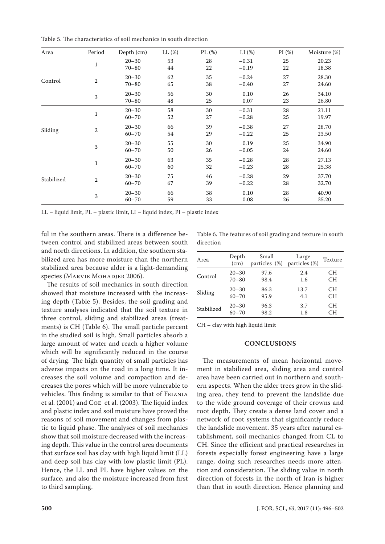Table 5. The characteristics of soil mechanics in south direction

| Area       | Period       | Depth (cm)             | LL (%)       | PL (%)   | LI(%)              | PI(%)    | Moisture (%)   |
|------------|--------------|------------------------|--------------|----------|--------------------|----------|----------------|
|            | $\mathbf{1}$ | $20 - 30$<br>$70 - 80$ | 53<br>44     | 28<br>22 | $-0.31$<br>$-0.19$ | 25<br>22 | 20.23<br>18.38 |
| Control    | $\mathbf{2}$ | $20 - 30$<br>$70 - 80$ | 62<br>65     | 35<br>38 | $-0.24$<br>$-0.40$ | 27<br>27 | 28.30<br>24.60 |
|            | 3            | $20 - 30$<br>$70 - 80$ | 56<br>48     | 30<br>25 | 0.10<br>0.07       | 26<br>23 | 34.10<br>26.80 |
| Sliding    | $\mathbf 1$  | $20 - 30$<br>$60 - 70$ | 58<br>$52\,$ | 30<br>27 | $-0.31$<br>$-0.28$ | 28<br>25 | 21.11<br>19.97 |
|            | $\,2$        | $20 - 30$<br>$60 - 70$ | 66<br>54     | 39<br>29 | $-0.38$<br>$-0.22$ | 27<br>25 | 28.70<br>23.50 |
|            | 3            | $20 - 30$<br>$60 - 70$ | 55<br>50     | 30<br>26 | 0.19<br>$-0.05$    | 25<br>24 | 34.90<br>24.60 |
| Stabilized | $\mathbf{1}$ | $20 - 30$<br>$60 - 70$ | 63<br>60     | 35<br>32 | $-0.28$<br>$-0.23$ | 28<br>28 | 27.13<br>25.38 |
|            | 2            | $20 - 30$<br>$60 - 70$ | 75<br>67     | 46<br>39 | $-0.28$<br>$-0.22$ | 29<br>28 | 37.70<br>32.70 |
|            | 3            | $20 - 30$<br>$60 - 70$ | 66<br>59     | 38<br>33 | 0.10<br>0.08       | 28<br>26 | 40.90<br>35.20 |

LL – liquid limit, PL – plastic limit, LI – liquid index, PI – plastic index

ful in the southern areas. There is a difference between control and stabilized areas between south and north directions. In addition, the southern stabilized area has more moisture than the northern stabilized area because alder is a light-demanding species (MARVIE MOHADJER 2006).

The results of soil mechanics in south direction showed that moisture increased with the increasing depth (Table 5). Besides, the soil grading and texture analyses indicated that the soil texture in three control, sliding and stabilized areas (treatments) is CH (Table 6). The small particle percent in the studied soil is high. Small particles absorb a large amount of water and reach a higher volume which will be significantly reduced in the course of drying. The high quantity of small particles has adverse impacts on the road in a long time. It increases the soil volume and compaction and decreases the pores which will be more vulnerable to vehicles. This finding is similar to that of Feiznia et al. (2001) and Coe et al. (2003). The liquid index and plastic index and soil moisture have proved the reasons of soil movement and changes from plastic to liquid phase. The analyses of soil mechanics show that soil moisture decreased with the increasing depth. This value in the control area documents that surface soil has clay with high liquid limit (LL) and deep soil has clay with low plastic limit (PL). Hence, the LL and PL have higher values on the surface, and also the moisture increased from first to third sampling.

Table 6. The features of soil grading and texture in south direction

| Area       | Depth<br>(cm) | Small<br>particles (%) | Large<br>particles (%) | Texture |
|------------|---------------|------------------------|------------------------|---------|
| Control    | $20 - 30$     | 97.6                   | 2.4                    | CН      |
|            | $70 - 80$     | 98.4                   | 1.6                    | CН      |
| Sliding    | $20 - 30$     | 86.3                   | 13.7                   | CН      |
|            | 60–70         | 95.9                   | 4.1                    | CН      |
| Stabilized | $20 - 30$     | 96.3                   | 3.7                    | CН      |
|            | $60 - 70$     | 98.2                   | 1.8                    | CН      |

CH – clay with high liquid limit

## **CONCLUSIONS**

The measurements of mean horizontal movement in stabilized area, sliding area and control area have been carried out in northern and southern aspects. When the alder trees grow in the sliding area, they tend to prevent the landslide due to the wide ground coverage of their crowns and root depth. They create a dense land cover and a network of root systems that significantly reduce the landslide movement. 35 years after natural establishment, soil mechanics changed from CL to CH. Since the efficient and practical researches in forests especially forest engineering have a large range, doing such researches needs more attention and consideration. The sliding value in north direction of forests in the north of Iran is higher than that in south direction. Hence planning and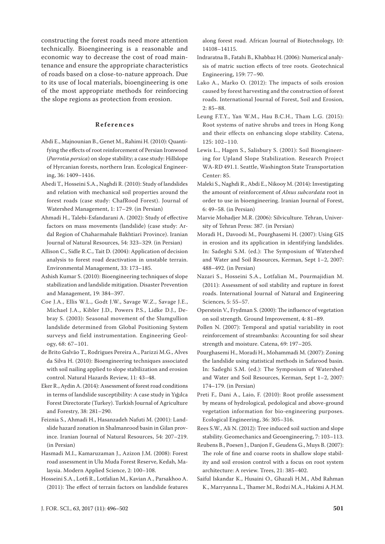constructing the forest roads need more attention technically. Bioengineering is a reasonable and economic way to decrease the cost of road maintenance and ensure the appropriate characteristics of roads based on a close-to-nature approach. Due to its use of local materials, bioengineering is one of the most appropriate methods for reinforcing the slope regions as protection from erosion.

#### **References**

- Abdi E., Majnounian B., Genet M., Rahimi H. (2010): Quantifying the effects of root reinforcement of Persian Ironwood (*Parrotia persica*) on slope stability; a case study: Hillslope of Hyrcanian forests, northern Iran. Ecological Engineering, 36: 1409–1416.
- Abedi T., Hosseini S.A., Naghdi R. (2010): Study of landslides and relation with mechanical soil properties around the forest roads (case study: ChafRood Forest). Journal of Watershed Management, 1: 17–29. (in Persian)
- Ahmadi H., Talebi-Esfandarani A. (2002): Study of effective factors on mass movements (landslide) (case study: Ardal Region of Chaharmahale Bakhtiari Province). Iranian Journal of Natural Resources, 54: 323–329. (in Persian)
- Allison C., Sidle R.C., Tait D. (2004): Application of decision analysis to forest road deactivation in unstable terrain. Environmental Management, 33: 173–185.
- Ashish Kumar S. (2010): Bioengineering techniques of slope stabilization and landslide mitigation. Disaster Prevention and Management, 19: 384–397.
- Coe J.A., Ellis W.L., Godt J.W., Savage W.Z., Savage J.E., Michael J.A., Kibler J.D., Powers P.S., Lidke D.J., Debray S. (2003): Seasonal movement of the Slumgullion landslide determined from Global Positioning System surveys and field instrumentation. Engineering Geology, 68: 67–101.
- de Brito Galvão T., Rodrigues Pereira A., Parizzi M.G., Alves da Silva H. (2010): Bioengineering techniques associated with soil nailing applied to slope stabilization and erosion control. Natural Hazards Review, 11: 43–48.
- Eker R., Aydin A. (2014): Assessment of forest road conditions in terms of landslide susceptibility: A case study in Yığılca Forest Directorate (Turkey). Turkish Journal of Agriculture and Forestry, 38: 281–290.
- Feiznia S., Ahmadi H., Hasanzadeh Nafuti M. (2001): Landslide hazard zonation in Shalmanrood basin in Gilan province. Iranian Journal of Natural Resources, 54: 207–219. (in Persian)
- Hasmadi M.I., Kamaruzaman J., Azizon J.M. (2008): Forest road assessment in Ulu Muda Forest Reserve, Kedah, Malaysia. Modern Applied Science, 2: 100–108.
- Hosseini S.A., Lotfi R., Lotfalian M., Kavian A., Parsakhoo A. (2011): The effect of terrain factors on landslide features

along forest road. African Journal of Biotechnology, 10: 14108–14115.

- Indraratna B., Fatahi B., Khabbaz H. (2006): Numerical analysis of matric suction effects of tree roots. Geotechnical Engineering, 159: 77–90.
- Lako A., Marko O. (2012): The impacts of soils erosion caused by forest harvesting and the construction of forest roads. International Journal of Forest, Soil and Erosion, 2: 85–88.
- Leung F.T.Y., Yan W.M., Hau B.C.H., Tham L.G. (2015): Root systems of native shrubs and trees in Hong Kong and their effects on enhancing slope stability. Catena, 125: 102–110.
- Lewis L., Hagen S., Salisbury S. (2001): Soil Bioengineering for Upland Slope Stabilization. Research Project WA-RD 491.1. Seattle, Washington State Transportation Center: 85.
- Maleki S., Naghdi R., Abdi E., Nikooy M. (2014): Investigating the amount of reinforcement of *Alnus subcordata* root in order to use in bioengineering. Iranian Journal of Forest, 6: 49–58. (in Persian)
- Marvie Mohadjer M.R. (2006): Silviculture. Tehran, University of Tehran Press: 387. (in Persian)
- Moradi H., Davoodi M., Pourghasemi H. (2007): Using GIS in erosion and its application in identifying landslides. In: Sadeghi S.M. (ed.): The Symposium of Watershed and Water and Soil Resources, Kerman, Sept 1–2, 2007: 488–492. (in Persian)
- Nazari S., Hosseini S.A., Lotfalian M., Pourmajidian M. (2011): Assessment of soil stability and rupture in forest roads. International Journal of Natural and Engineering Sciences, 5: 55–57.
- Operstein V., Frydman S. (2000): The influence of vegetation on soil strength. Ground Improvement, 4: 81–89.
- Pollen N. (2007): Temporal and spatial variability in root reinforcement of streambanks: Accounting for soil shear strength and moisture. Catena, 69: 197–205.
- Pourghasemi H., Moradi H., Mohammadi M. (2007): Zoning the landslide using statistical methods in Safarood basin. In: Sadeghi S.M. (ed.): The Symposium of Watershed and Water and Soil Resources, Kerman, Sept 1–2, 2007: 174–179. (in Persian)
- Preti F., Dani A., Laio, F. (2010): Root profile assessment by means of hydrological, pedological and above-ground vegetation information for bio-engineering purposes. Ecological Engineering, 36: 305–316.
- Rees S.W., Ali N. (2012): Tree induced soil suction and slope stability. Geomechanics and Geoengineering, 7: 103–113.
- Reubens B., Poesen J., Danjon F., Geudens G., Muys B. (2007): The role of fine and coarse roots in shallow slope stability and soil erosion control with a focus on root system architecture: A review. Trees, 21: 385–402.
- Saiful Iskandar K., Husaini O., Ghazali H.M., Abd Rahman K., Marryanna L., Thamer M., Rodzi M.A., Hakimi A.H.M.